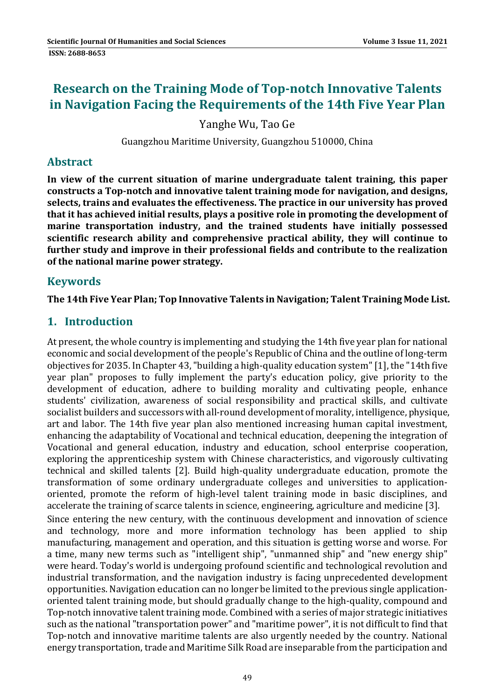# **Research on the Training Mode of Top‐notch Innovative Talents in Navigation Facing the Requirements of the 14th Five Year Plan**

Yanghe Wu, Tao Ge

Guangzhou Maritime University, Guangzhou 510000, China

## **Abstract**

**In view of the current situation of marine undergraduate talent training, this paper constructs a Top‐notch and innovative talent training mode for navigation, and designs, selects, trains and evaluates the effectiveness. The practice in our university has proved that it has achieved initial results, plays a positive role in promoting the development of marine transportation industry, and the trained students have initially possessed scientific research ability and comprehensive practical ability, they will continue to further study and improve in their professional fields and contribute to the realization of the national marine power strategy.**

## **Keywords**

**The 14th Five Year Plan; Top Innovative Talents in Navigation; Talent Training Mode List.**

## **1. Introduction**

At present, the whole country is implementing and studying the 14th five year plan for national economic and social development of the people's Republic of China and the outline of long-term objectives for 2035. In Chapter 43, "building a high-quality education system" [1], the "14th five year plan" proposes to fully implement the party's education policy, give priority to the development of education, adhere to building morality and cultivating people, enhance students' civilization, awareness of social responsibility and practical skills, and cultivate socialist builders and successors with all-round development of morality, intelligence, physique, art and labor. The 14th five year plan also mentioned increasing human capital investment, enhancing the adaptability of Vocational and technical education, deepening the integration of Vocational and general education, industry and education, school enterprise cooperation, exploring the apprenticeship system with Chinese characteristics, and vigorously cultivating technical and skilled talents [2]. Build high-quality undergraduate education, promote the transformation of some ordinary undergraduate colleges and universities to applicationoriented, promote the reform of high-level talent training mode in basic disciplines, and accelerate the training of scarce talents in science, engineering, agriculture and medicine [3]. Since entering the new century, with the continuous development and innovation of science and technology, more and more information technology has been applied to ship manufacturing, management and operation, and this situation is getting worse and worse. For a time, many new terms such as "intelligent ship", "unmanned ship" and "new energy ship" were heard. Today's world is undergoing profound scientific and technological revolution and industrial transformation, and the navigation industry is facing unprecedented development opportunities. Navigation education can no longer be limited to the previous single applicationoriented talent training mode, but should gradually change to the high-quality, compound and Top-notch innovative talent training mode. Combined with a series of major strategic initiatives such as the national "transportation power" and "maritime power", it is not difficult to find that Top-notch and innovative maritime talents are also urgently needed by the country. National energy transportation, trade and Maritime Silk Road are inseparable from the participation and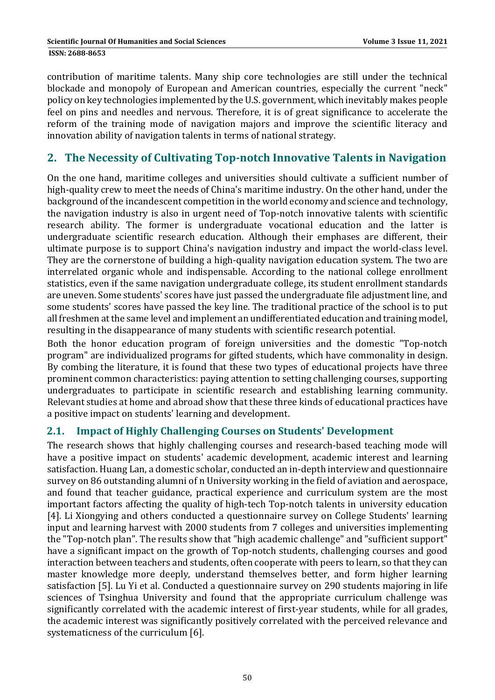contribution of maritime talents. Many ship core technologies are still under the technical blockade and monopoly of European and American countries, especially the current "neck" policy on key technologies implemented by the U.S. government, which inevitably makes people feel on pins and needles and nervous. Therefore, it is of great significance to accelerate the reform of the training mode of navigation majors and improve the scientific literacy and innovation ability of navigation talents in terms of national strategy.

## **2. The Necessity of Cultivating Top‐notch Innovative Talents in Navigation**

On the one hand, maritime colleges and universities should cultivate a sufficient number of high-quality crew to meet the needs of China's maritime industry. On the other hand, under the background of the incandescent competition in the world economy and science and technology, the navigation industry is also in urgent need of Top-notch innovative talents with scientific research ability. The former is undergraduate vocational education and the latter is undergraduate scientific research education. Although their emphases are different, their ultimate purpose is to support China's navigation industry and impact the world-class level. They are the cornerstone of building a high-quality navigation education system. The two are interrelated organic whole and indispensable. According to the national college enrollment statistics, even if the same navigation undergraduate college, its student enrollment standards are uneven. Some students' scores have just passed the undergraduate file adjustment line, and some students' scores have passed the key line. The traditional practice of the school is to put all freshmen at the same level and implement an undifferentiated education and training model, resulting in the disappearance of many students with scientific research potential.

Both the honor education program of foreign universities and the domestic "Top-notch program" are individualized programs for gifted students, which have commonality in design. By combing the literature, it is found that these two types of educational projects have three prominent common characteristics: paying attention to setting challenging courses, supporting undergraduates to participate in scientific research and establishing learning community. Relevant studies at home and abroad show that these three kinds of educational practices have a positive impact on students' learning and development.

## **2.1. Impact of Highly Challenging Courses on Students' Development**

The research shows that highly challenging courses and research-based teaching mode will have a positive impact on students' academic development, academic interest and learning satisfaction. Huang Lan, a domestic scholar, conducted an in-depth interview and questionnaire survey on 86 outstanding alumni of n University working in the field of aviation and aerospace, and found that teacher guidance, practical experience and curriculum system are the most important factors affecting the quality of high-tech Top-notch talents in university education [4]. Li Xiongying and others conducted a questionnaire survey on College Students' learning input and learning harvest with 2000 students from 7 colleges and universities implementing the "Top-notch plan". The results show that "high academic challenge" and "sufficient support" have a significant impact on the growth of Top-notch students, challenging courses and good interaction between teachers and students, often cooperate with peers to learn, so that they can master knowledge more deeply, understand themselves better, and form higher learning satisfaction [5]. Lu Yi et al. Conducted a questionnaire survey on 290 students majoring in life sciences of Tsinghua University and found that the appropriate curriculum challenge was significantly correlated with the academic interest of first-year students, while for all grades, the academic interest was significantly positively correlated with the perceived relevance and systematicness of the curriculum [6].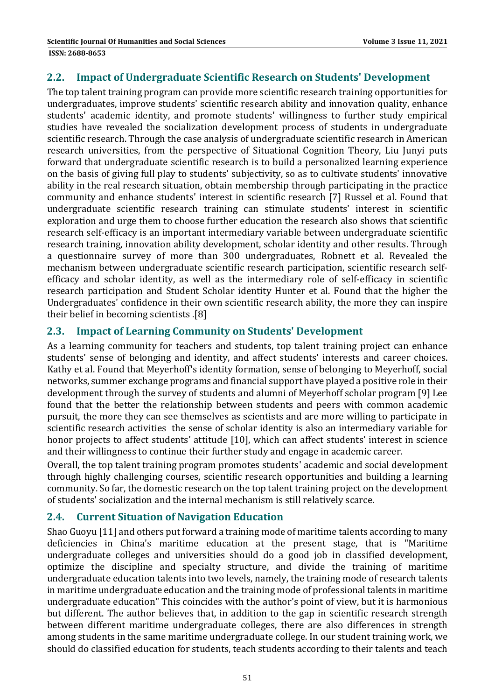### **2.2. Impact of Undergraduate Scientific Research on Students' Development**

The top talent training program can provide more scientific research training opportunities for undergraduates, improve students' scientific research ability and innovation quality, enhance students' academic identity, and promote students' willingness to further study empirical studies have revealed the socialization development process of students in undergraduate scientific research. Through the case analysis of undergraduate scientific research in American research universities, from the perspective of Situational Cognition Theory, Liu Junyi puts forward that undergraduate scientific research is to build a personalized learning experience on the basis of giving full play to students' subjectivity, so as to cultivate students' innovative ability in the real research situation, obtain membership through participating in the practice community and enhance students' interest in scientific research [7] Russel et al. Found that undergraduate scientific research training can stimulate students' interest in scientific exploration and urge them to choose further education the research also shows that scientific research self-efficacy is an important intermediary variable between undergraduate scientific research training, innovation ability development, scholar identity and other results. Through a questionnaire survey of more than 300 undergraduates, Robnett et al. Revealed the mechanism between undergraduate scientific research participation, scientific research selfefficacy and scholar identity, as well as the intermediary role of self-efficacy in scientific research participation and Student Scholar identity Hunter et al. Found that the higher the Undergraduates' confidence in their own scientific research ability, the more they can inspire their belief in becoming scientists .[8]

## **2.3. Impact of Learning Community on Students' Development**

As a learning community for teachers and students, top talent training project can enhance students' sense of belonging and identity, and affect students' interests and career choices. Kathy et al. Found that Meyerhoff's identity formation, sense of belonging to Meyerhoff, social networks, summer exchange programs and financial support have played a positive role in their development through the survey of students and alumni of Meyerhoff scholar program [9] Lee found that the better the relationship between students and peers with common academic pursuit, the more they can see themselves as scientists and are more willing to participate in scientific research activities the sense of scholar identity is also an intermediary variable for honor projects to affect students' attitude [10], which can affect students' interest in science and their willingness to continue their further study and engage in academic career.

Overall, the top talent training program promotes students' academic and social development through highly challenging courses, scientific research opportunities and building a learning community. So far, the domestic research on the top talent training project on the development of students' socialization and the internal mechanism is still relatively scarce.

## **2.4. Current Situation of Navigation Education**

Shao Guoyu [11] and others put forward a training mode of maritime talents according to many deficiencies in China's maritime education at the present stage, that is "Maritime undergraduate colleges and universities should do a good job in classified development, optimize the discipline and specialty structure, and divide the training of maritime undergraduate education talents into two levels, namely, the training mode of research talents in maritime undergraduate education and the training mode of professional talents in maritime undergraduate education" This coincides with the author's point of view, but it is harmonious but different. The author believes that, in addition to the gap in scientific research strength between different maritime undergraduate colleges, there are also differences in strength among students in the same maritime undergraduate college. In our student training work, we should do classified education for students, teach students according to their talents and teach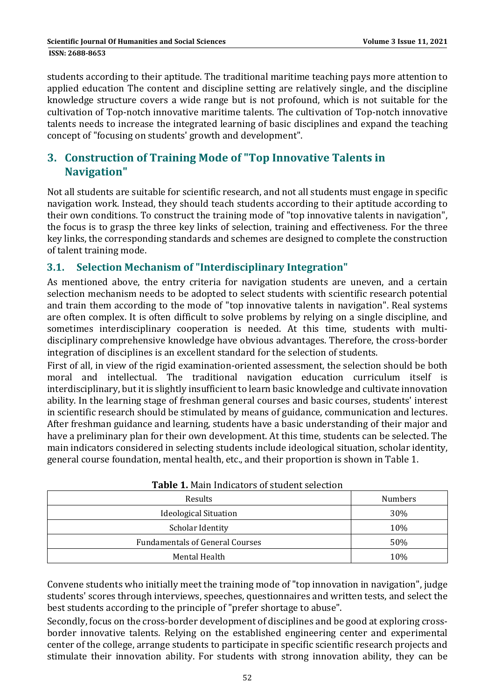students according to their aptitude. The traditional maritime teaching pays more attention to applied education The content and discipline setting are relatively single, and the discipline knowledge structure covers a wide range but is not profound, which is not suitable for the cultivation of Top-notch innovative maritime talents. The cultivation of Top-notch innovative talents needs to increase the integrated learning of basic disciplines and expand the teaching concept of "focusing on students' growth and development".

## **3. Construction of Training Mode of "Top Innovative Talents in Navigation"**

Not all students are suitable for scientific research, and not all students must engage in specific navigation work. Instead, they should teach students according to their aptitude according to their own conditions. To construct the training mode of "top innovative talents in navigation", the focus is to grasp the three key links of selection, training and effectiveness. For the three key links, the corresponding standards and schemes are designed to complete the construction of talent training mode.

## **3.1. Selection Mechanism of "Interdisciplinary Integration"**

As mentioned above, the entry criteria for navigation students are uneven, and a certain selection mechanism needs to be adopted to select students with scientific research potential and train them according to the mode of "top innovative talents in navigation". Real systems are often complex. It is often difficult to solve problems by relying on a single discipline, and sometimes interdisciplinary cooperation is needed. At this time, students with multidisciplinary comprehensive knowledge have obvious advantages. Therefore, the cross-border integration of disciplines is an excellent standard for the selection of students.

First of all, in view of the rigid examination-oriented assessment, the selection should be both moral and intellectual. The traditional navigation education curriculum itself is interdisciplinary, but it is slightly insufficient to learn basic knowledge and cultivate innovation ability. In the learning stage of freshman general courses and basic courses, students' interest in scientific research should be stimulated by means of guidance, communication and lectures. After freshman guidance and learning, students have a basic understanding of their major and have a preliminary plan for their own development. At this time, students can be selected. The main indicators considered in selecting students include ideological situation, scholar identity, general course foundation, mental health, etc., and their proportion is shown in Table 1.

| <b>TWDIS I</b> I PRAIN INGREGIS OF STRUCHT SCHOOLS |                |  |  |  |  |
|----------------------------------------------------|----------------|--|--|--|--|
| Results                                            | <b>Numbers</b> |  |  |  |  |
| <b>Ideological Situation</b>                       | 30%            |  |  |  |  |
| <b>Scholar Identity</b>                            | 10%            |  |  |  |  |
| <b>Fundamentals of General Courses</b>             | 50%            |  |  |  |  |
| Mental Health                                      | 10%            |  |  |  |  |

|  | <b>Table 1. Main Indicators of student selection</b> |  |
|--|------------------------------------------------------|--|
|  |                                                      |  |

Convene students who initially meet the training mode of "top innovation in navigation", judge students' scores through interviews, speeches, questionnaires and written tests, and select the best students according to the principle of "prefer shortage to abuse".

Secondly, focus on the cross-border development of disciplines and be good at exploring crossborder innovative talents. Relying on the established engineering center and experimental center of the college, arrange students to participate in specific scientific research projects and stimulate their innovation ability. For students with strong innovation ability, they can be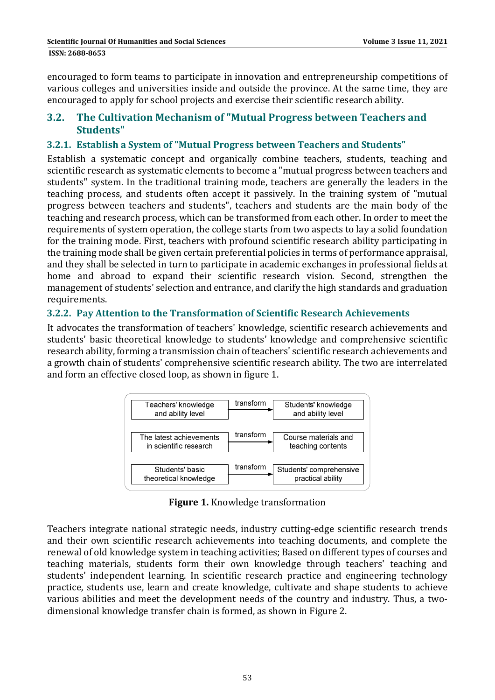encouraged to form teams to participate in innovation and entrepreneurship competitions of various colleges and universities inside and outside the province. At the same time, they are encouraged to apply for school projects and exercise their scientific research ability.

## **3.2. The Cultivation Mechanism of "Mutual Progress between Teachers and Students"**

## **3.2.1. Establish a System of "Mutual Progress between Teachers and Students"**

Establish a systematic concept and organically combine teachers, students, teaching and scientific research as systematic elements to become a "mutual progress between teachers and students" system. In the traditional training mode, teachers are generally the leaders in the teaching process, and students often accept it passively. In the training system of "mutual progress between teachers and students", teachers and students are the main body of the teaching and research process, which can be transformed from each other. In order to meet the requirements of system operation, the college starts from two aspects to lay a solid foundation for the training mode. First, teachers with profound scientific research ability participating in the training mode shall be given certain preferential policies in terms of performance appraisal, and they shall be selected in turn to participate in academic exchanges in professional fields at home and abroad to expand their scientific research vision. Second, strengthen the management of students' selection and entrance, and clarify the high standards and graduation requirements. 

#### **3.2.2. Pay Attention to the Transformation of Scientific Research Achievements**

It advocates the transformation of teachers' knowledge, scientific research achievements and students' basic theoretical knowledge to students' knowledge and comprehensive scientific research ability, forming a transmission chain of teachers' scientific research achievements and a growth chain of students' comprehensive scientific research ability. The two are interrelated and form an effective closed loop, as shown in figure 1.



**Figure 1.** Knowledge transformation

Teachers integrate national strategic needs, industry cutting-edge scientific research trends and their own scientific research achievements into teaching documents, and complete the renewal of old knowledge system in teaching activities; Based on different types of courses and teaching materials, students form their own knowledge through teachers' teaching and students' independent learning. In scientific research practice and engineering technology practice, students use, learn and create knowledge, cultivate and shape students to achieve various abilities and meet the development needs of the country and industry. Thus, a twodimensional knowledge transfer chain is formed, as shown in Figure 2.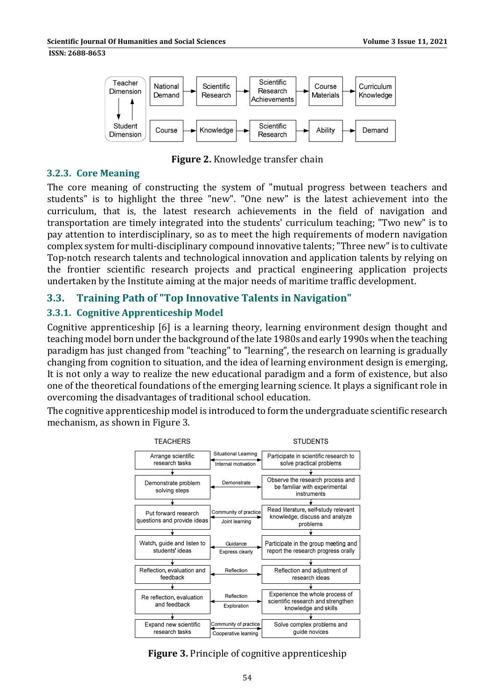#### **ISSN: 2688-8653**



**Figure 2.** Knowledge transfer chain

#### **3.2.3. Core Meaning**

The core meaning of constructing the system of "mutual progress between teachers and students" is to highlight the three "new". "One new" is the latest achievement into the curriculum, that is, the latest research achievements in the field of navigation and transportation are timely integrated into the students' curriculum teaching; "Two new" is to pay attention to interdisciplinary, so as to meet the high requirements of modern navigation complex system for multi-disciplinary compound innovative talents; "Three new" is to cultivate Top-notch research talents and technological innovation and application talents by relying on the frontier scientific research projects and practical engineering application projects undertaken by the Institute aiming at the major needs of maritime traffic development.

## **3.3. Training Path of "Top Innovative Talents in Navigation"**

## **3.3.1. Cognitive Apprenticeship Model**

Cognitive apprenticeship [6] is a learning theory, learning environment design thought and teaching model born under the background of the late 1980s and early 1990s when the teaching paradigm has just changed from "teaching" to "learning", the research on learning is gradually changing from cognition to situation, and the idea of learning environment design is emerging, It is not only a way to realize the new educational paradigm and a form of existence, but also one of the theoretical foundations of the emerging learning science. It plays a significant role in over coming the disadvantages of traditional school education.

The cognitive apprenticeship model is introduced to form the undergraduate scientific research mechanism, as shown in Figure 3.



## **Figure 3.** Principle of cognitive apprenticeship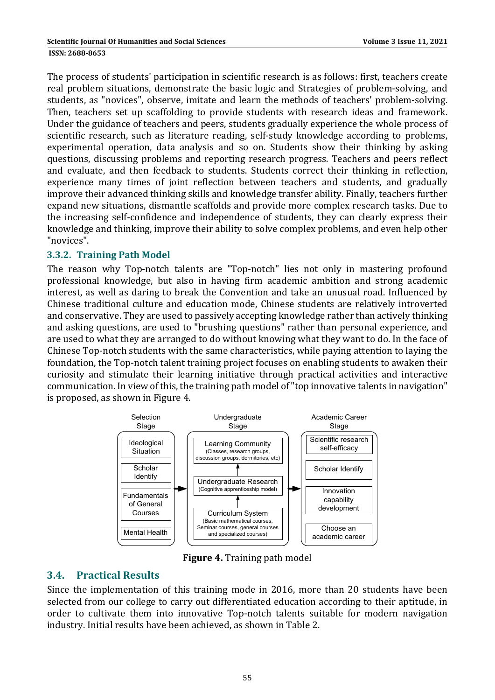The process of students' participation in scientific research is as follows: first, teachers create real problem situations, demonstrate the basic logic and Strategies of problem-solving, and students, as "novices", observe, imitate and learn the methods of teachers' problem-solving. Then, teachers set up scaffolding to provide students with research ideas and framework. Under the guidance of teachers and peers, students gradually experience the whole process of scientific research, such as literature reading, self-study knowledge according to problems, experimental operation, data analysis and so on. Students show their thinking by asking questions, discussing problems and reporting research progress. Teachers and peers reflect and evaluate, and then feedback to students. Students correct their thinking in reflection, experience many times of joint reflection between teachers and students, and gradually improve their advanced thinking skills and knowledge transfer ability. Finally, teachers further expand new situations, dismantle scaffolds and provide more complex research tasks. Due to the increasing self-confidence and independence of students, they can clearly express their knowledge and thinking, improve their ability to solve complex problems, and even help other "novices". 

### **3.3.2. Training Path Model**

The reason why Top-notch talents are "Top-notch" lies not only in mastering profound professional knowledge, but also in having firm academic ambition and strong academic interest, as well as daring to break the Convention and take an unusual road. Influenced by Chinese traditional culture and education mode, Chinese students are relatively introverted and conservative. They are used to passively accepting knowledge rather than actively thinking and asking questions, are used to "brushing questions" rather than personal experience, and are used to what they are arranged to do without knowing what they want to do. In the face of Chinese Top-notch students with the same characteristics, while paying attention to laying the foundation, the Top-notch talent training project focuses on enabling students to awaken their curiosity and stimulate their learning initiative through practical activities and interactive communication. In view of this, the training path model of "top innovative talents in navigation" is proposed, as shown in Figure 4.



**Figure 4.** Training path model

## **3.4. Practical Results**

Since the implementation of this training mode in 2016, more than 20 students have been selected from our college to carry out differentiated education according to their aptitude, in order to cultivate them into innovative Top-notch talents suitable for modern navigation industry. Initial results have been achieved, as shown in Table 2.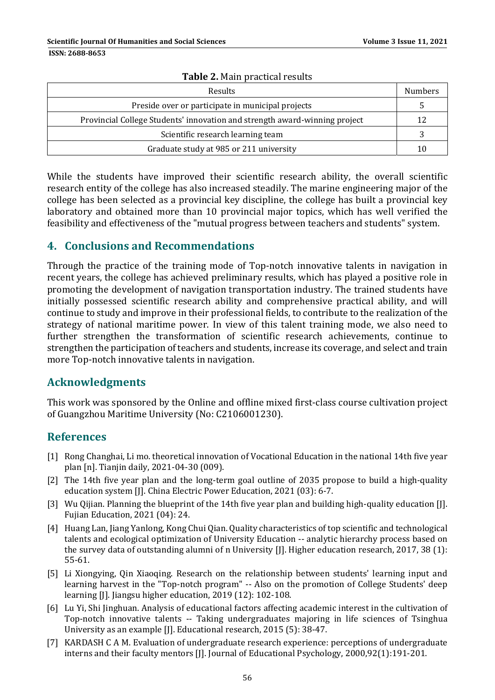| <b>Results</b>                                                             |    |  |
|----------------------------------------------------------------------------|----|--|
| Preside over or participate in municipal projects                          |    |  |
| Provincial College Students' innovation and strength award-winning project | 12 |  |
| Scientific research learning team                                          |    |  |
| Graduate study at 985 or 211 university                                    | 10 |  |

#### **Table** 2. Main practical require

While the students have improved their scientific research ability, the overall scientific research entity of the college has also increased steadily. The marine engineering major of the college has been selected as a provincial key discipline, the college has built a provincial key laboratory and obtained more than 10 provincial major topics, which has well verified the feasibility and effectiveness of the "mutual progress between teachers and students" system.

## **4. Conclusions and Recommendations**

Through the practice of the training mode of Top-notch innovative talents in navigation in recent years, the college has achieved preliminary results, which has played a positive role in promoting the development of navigation transportation industry. The trained students have initially possessed scientific research ability and comprehensive practical ability, and will continue to study and improve in their professional fields, to contribute to the realization of the strategy of national maritime power. In view of this talent training mode, we also need to further strengthen the transformation of scientific research achievements, continue to strengthen the participation of teachers and students, increase its coverage, and select and train more Top-notch innovative talents in navigation.

## **Acknowledgments**

This work was sponsored by the Online and offline mixed first-class course cultivation project of Guangzhou Maritime University (No: C2106001230).

## **References**

- [1] Rong Changhai, Li mo. theoretical innovation of Vocational Education in the national 14th five year plan [n]. Tianjin daily, 2021-04-30 (009).
- [2] The 14th five year plan and the long-term goal outline of 2035 propose to build a high-quality education system [J]. China Electric Power Education, 2021 (03): 6-7.
- [3] Wu Qijian. Planning the blueprint of the 14th five year plan and building high-quality education [J]. Fujian Education, 2021 (04): 24.
- [4] Huang Lan, Jiang Yanlong, Kong Chui Qian. Quality characteristics of top scientific and technological talents and ecological optimization of University Education -- analytic hierarchy process based on the survey data of outstanding alumni of n University [J]. Higher education research, 2017, 38 (1): 55‐61.
- [5] Li Xiongying, Qin Xiaoqing. Research on the relationship between students' learning input and learning harvest in the "Top-notch program" -- Also on the promotion of College Students' deep learning [J]. Jiangsu higher education, 2019 (12): 102-108.
- [6] Lu Yi, Shi Jinghuan. Analysis of educational factors affecting academic interest in the cultivation of Top-notch innovative talents -- Taking undergraduates majoring in life sciences of Tsinghua University as an example [J]. Educational research, 2015 (5): 38-47.
- [7] KARDASH C A M. Evaluation of undergraduate research experience: perceptions of undergraduate interns and their faculty mentors [J]. Journal of Educational Psychology, 2000,92(1):191-201.